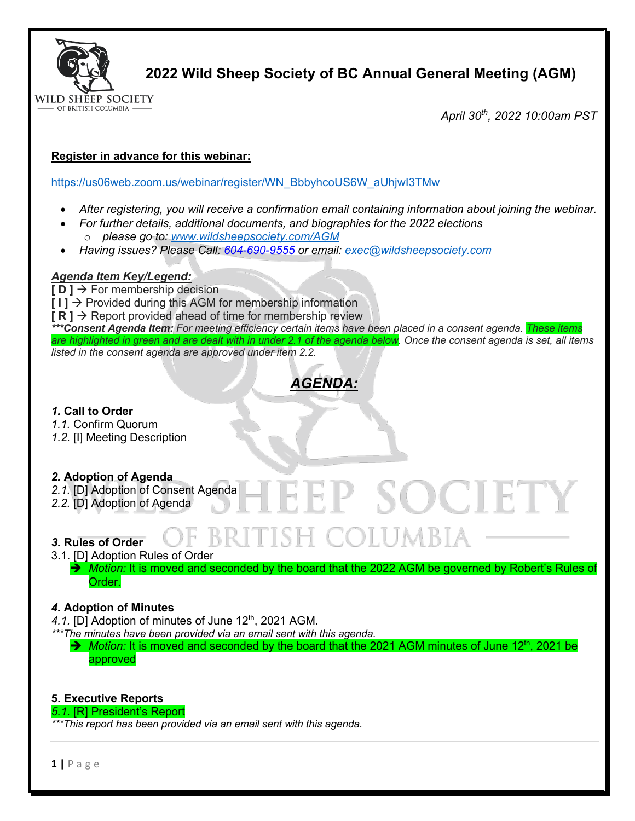

**2022 Wild Sheep Society of BC Annual General Meeting (AGM)**

*April 30th, 2022 10:00am PST*

## **Register in advance for this webinar:**

https://us06web.zoom.us/webinar/register/WN\_BbbyhcoUS6W\_aUhjwI3TMw

- *After registering, you will receive a confirmation email containing information about joining the webinar.*
- *For further details, additional documents, and biographies for the 2022 elections* o *please go to: www.wildsheepsociety.com/AGM*
- *Having issues? Please Call: 604-690-9555 or email: exec@wildsheepsociety.com*

## *Agenda Item Key/Legend:*

**[ D ]** à For membership decision  $[1]$   $\rightarrow$  Provided during this AGM for membership information  $\mathsf{[} \mathsf{R} \mathsf{]} \rightarrow \mathsf{Report}$  provided ahead of time for membership review *\*\*\*Consent Agenda Item: For meeting efficiency certain items have been placed in a consent agenda. These items are highlighted in green and are dealt with in under 2.1 of the agenda below. Once the consent agenda is set, all items listed in the consent agenda are approved under item 2.2.* 

# *AGENDA:*

*1.* **Call to Order** 

- *1.1.* Confirm Quorum
- *1.2.* [I] Meeting Description

## *2.* **Adoption of Agenda**

- 2.1. [D] Adoption of Consent Agenda
- *2.2.* [D] Adoption of Agenda

## *3.* **Rules of Order**

3.1. [D] Adoption Rules of Order

→ *Motion:* It is moved and seconded by the board that the 2022 AGM be governed by Robert's Rules of Order.

EEP SOCIE

-COLUMBIA

## *4.* **Adoption of Minutes**

4.1. [D] Adoption of minutes of June 12<sup>th</sup>, 2021 AGM.

*\*\*\*The minutes have been provided via an email sent with this agenda.* 

→ *Motion:* It is moved and seconded by the board that the 2021 AGM minutes of June 12<sup>th</sup>, 2021 be approved

## **5. Executive Reports**

#### *5.1.* [R] President's Report

*\*\*\*This report has been provided via an email sent with this agenda.*